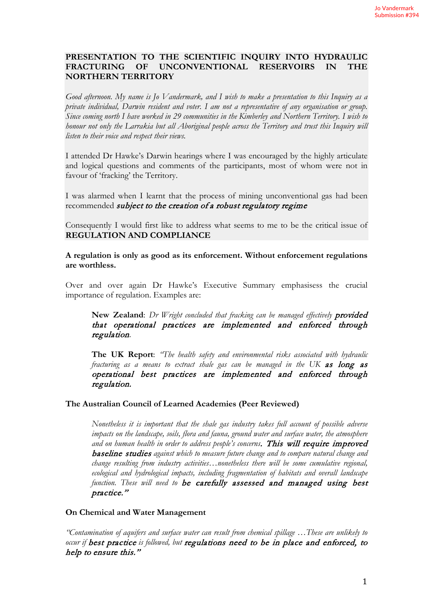#### **PRESENTATION TO THE SCIENTIFIC INQUIRY INTO HYDRAULIC UNCONVENTIONAL RESERVOIRS NORTHERN TERRITORY**

*Good afternoon. My name is Jo Vandermark, and I wish to make a presentation to this Inquiry as a private individual, Darwin resident and voter. I am not a representative of any organisation or group. Since coming north I have worked in 29 communities in the Kimberley and Northern Territory. I wish to honour not only the Larrakia but all Aboriginal people across the Territory and trust this Inquiry will listen to their voice and respect their views.*

I attended Dr Hawke's Darwin hearings where I was encouraged by the highly articulate and logical questions and comments of the participants, most of whom were not in favour of 'fracking' the Territory.

I was alarmed when I learnt that the process of mining unconventional gas had been recommended *subject to the creation of a robust regulatory regime* 

Consequently I would first like to address what seems to me to be the critical issue of **REGULATION AND COMPLIANCE** 

**A regulation is only as good as its enforcement. Without enforcement regulations are worthless.** 

Over and over again Dr Hawke's Executive Summary emphasisess the crucial importance of regulation. Examples are:

**New Zealand**: *Dr Wright concluded that fracking can be managed effectively* provided that operational practices are implemented and enforced through regulation.

**The UK Report**: *"The health safety and environmental risks associated with hydraulic fracturing as a means to extract shale gas can be managed in the UK* as long as operational best practices are implemented and enforced through regulation.

#### **The Australian Council of Learned Academies (Peer Reviewed)**

*Nonetheless it is important that the shale gas industry takes full account of possible adverse impacts on the landscape, soils, flora and fauna, ground water and surface water, the atmosphere*  and on human health in order to address people's concerns. This will require improved baseline studies *against which to measure future change and to compare natural change and change resulting from industry activities…nonetheless there will be some cumulative regional, ecological and hydrological impacts, including fragmentation of habitats and overall landscape function. These will need to* be carefully assessed and managed using best practice."

#### **On Chemical and Water Management**

*"Contamination of aquifers and surface water can result from chemical spillage …These are unlikely to occur if* best practice *is followed, but* regulations need to be in place and enforced, to help to ensure this."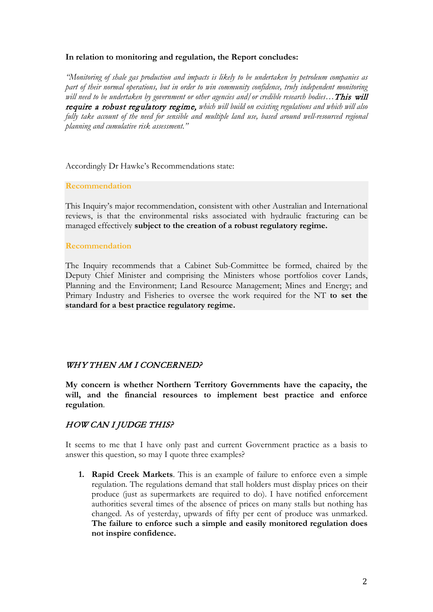#### **In relation to monitoring and regulation, the Report concludes:**

*"Monitoring of shale gas production and impacts is likely to be undertaken by petroleum companies as part of their normal operations, but in order to win community confidence, truly independent monitoring will need to be undertaken by government or other agencies and/or credible research bodies…*This will require a robust regulatory regime, *which will build on existing regulations and which will also fully take account of the need for sensible and multiple land use, based around well-resourced regional planning and cumulative risk assessment."* 

Accordingly Dr Hawke's Recommendations state:

#### **Recommendation**

This Inquiry's major recommendation, consistent with other Australian and International reviews, is that the environmental risks associated with hydraulic fracturing can be managed effectively **subject to the creation of a robust regulatory regime.**

#### **Recommendation**

The Inquiry recommends that a Cabinet Sub-Committee be formed, chaired by the Deputy Chief Minister and comprising the Ministers whose portfolios cover Lands, Planning and the Environment; Land Resource Management; Mines and Energy; and Primary Industry and Fisheries to oversee the work required for the NT **to set the standard for a best practice regulatory regime.** 

## WHY THEN AM I CONCERNED?

**My concern is whether Northern Territory Governments have the capacity, the will, and the financial resources to implement best practice and enforce regulation**.

# HOW CAN I JUDGE THIS?

It seems to me that I have only past and current Government practice as a basis to answer this question, so may I quote three examples?

**1. Rapid Creek Markets**. This is an example of failure to enforce even a simple regulation. The regulations demand that stall holders must display prices on their produce (just as supermarkets are required to do). I have notified enforcement authorities several times of the absence of prices on many stalls but nothing has changed. As of yesterday, upwards of fifty per cent of produce was unmarked. **The failure to enforce such a simple and easily monitored regulation does not inspire confidence.**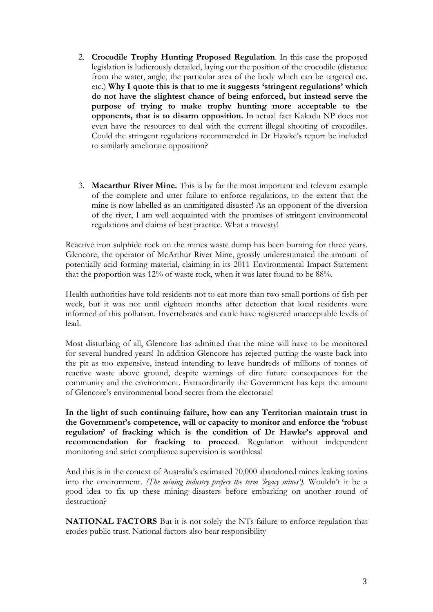- 2. **Crocodile Trophy Hunting Proposed Regulation**. In this case the proposed legislation is ludicrously detailed, laying out the position of the crocodile (distance from the water, angle, the particular area of the body which can be targeted etc. etc.) **Why I quote this is that to me it suggests 'stringent regulations' which do not have the slightest chance of being enforced, but instead serve the purpose of trying to make trophy hunting more acceptable to the opponents, that is to disarm opposition.** In actual fact Kakadu NP does not even have the resources to deal with the current illegal shooting of crocodiles. Could the stringent regulations recommended in Dr Hawke's report be included to similarly ameliorate opposition?
- 3. **Macarthur River Mine.** This is by far the most important and relevant example of the complete and utter failure to enforce regulations, to the extent that the mine is now labelled as an unmitigated disaster! As an opponent of the diversion of the river, I am well acquainted with the promises of stringent environmental regulations and claims of best practice. What a travesty!

Reactive iron sulphide rock on the mines waste dump has been burning for three years. Glencore, the operator of McArthur River Mine, grossly underestimated the amount of potentially acid forming material, claiming in its 2011 Environmental Impact Statement that the proportion was 12% of waste rock, when it was later found to be 88%.

Health authorities have told residents not to eat more than two small portions of fish per week, but it was not until eighteen months after detection that local residents were informed of this pollution. Invertebrates and cattle have registered unacceptable levels of lead.

Most disturbing of all, Glencore has admitted that the mine will have to be monitored for several hundred years! In addition Glencore has rejected putting the waste back into the pit as too expensive, instead intending to leave hundreds of millions of tonnes of reactive waste above ground, despite warnings of dire future consequences for the community and the environment. Extraordinarily the Government has kept the amount of Glencore's environmental bond secret from the electorate!

**In the light of such continuing failure, how can any Territorian maintain trust in the Government's competence, will or capacity to monitor and enforce the 'robust regulation' of fracking which is the condition of Dr Hawke's approval and recommendation for fracking to proceed**. Regulation without independent monitoring and strict compliance supervision is worthless!

And this is in the context of Australia's estimated 70,000 abandoned mines leaking toxins into the environment. *(The mining industry prefers the term 'legacy mines').* Wouldn't it be a good idea to fix up these mining disasters before embarking on another round of destruction?

**NATIONAL FACTORS** But it is not solely the NTs failure to enforce regulation that erodes public trust. National factors also bear responsibility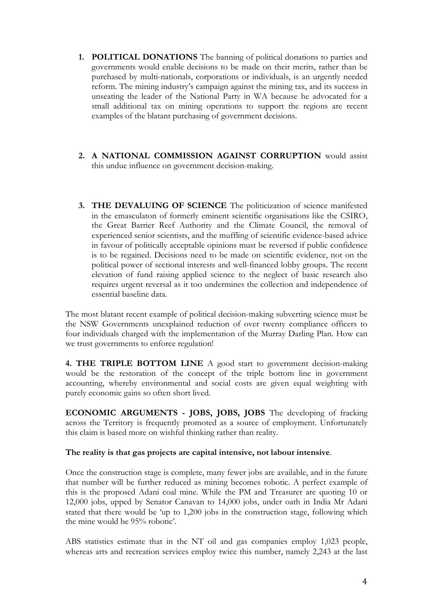- **1. POLITICAL DONATIONS** The banning of political donations to parties and governments would enable decisions to be made on their merits, rather than be purchased by multi-nationals, corporations or individuals, is an urgently needed reform. The mining industry's campaign against the mining tax, and its success in unseating the leader of the National Party in WA because he advocated for a small additional tax on mining operations to support the regions are recent examples of the blatant purchasing of government decisions.
- **2. A NATIONAL COMMISSION AGAINST CORRUPTION** would assist this undue influence on government decision-making.
- **3. THE DEVALUING OF SCIENCE** The politicization of science manifested in the emasculaton of formerly eminent scientific organisations like the CSIRO, the Great Barrier Reef Authority and the Climate Council, the removal of experienced senior scientists, and the muffling of scientific evidence-based advice in favour of politically acceptable opinions must be reversed if public confidence is to be regained. Decisions need to be made on scientific evidence, not on the political power of sectional interests and well-financed lobby groups. The recent elevation of fund raising applied science to the neglect of basic research also requires urgent reversal as it too undermines the collection and independence of essential baseline data.

The most blatant recent example of political decision-making subverting science must be the NSW Governments unexplained reduction of over twenty compliance officers to four individuals charged with the implementation of the Murray Darling Plan. How can we trust governments to enforce regulation!

**4. THE TRIPLE BOTTOM LINE** A good start to government decision-making would be the restoration of the concept of the triple bottom line in government accounting, whereby environmental and social costs are given equal weighting with purely economic gains so often short lived.

**ECONOMIC ARGUMENTS - JOBS, JOBS, JOBS** The developing of fracking across the Territory is frequently promoted as a source of employment. Unfortunately this claim is based more on wishful thinking rather than reality.

#### **The reality is that gas projects are capital intensive, not labour intensive**.

Once the construction stage is complete, many fewer jobs are available, and in the future that number will be further reduced as mining becomes robotic. A perfect example of this is the proposed Adani coal mine. While the PM and Treasurer are quoting 10 or 12,000 jobs, upped by Senator Canavan to 14,000 jobs, under oath in India Mr Adani stated that there would be 'up to 1,200 jobs in the construction stage, following which the mine would be 95% robotic'.

ABS statistics estimate that in the NT oil and gas companies employ 1,023 people, whereas arts and recreation services employ twice this number, namely 2,243 at the last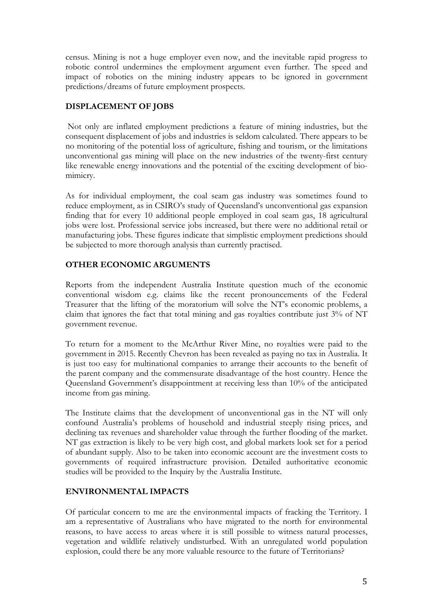census. Mining is not a huge employer even now, and the inevitable rapid progress to robotic control undermines the employment argument even further. The speed and impact of robotics on the mining industry appears to be ignored in government predictions/dreams of future employment prospects.

## **DISPLACEMENT OF JOBS**

Not only are inflated employment predictions a feature of mining industries, but the consequent displacement of jobs and industries is seldom calculated. There appears to be no monitoring of the potential loss of agriculture, fishing and tourism, or the limitations unconventional gas mining will place on the new industries of the twenty-first century like renewable energy innovations and the potential of the exciting development of biomimicry.

As for individual employment, the coal seam gas industry was sometimes found to reduce employment, as in CSIRO's study of Queensland's unconventional gas expansion finding that for every 10 additional people employed in coal seam gas, 18 agricultural jobs were lost. Professional service jobs increased, but there were no additional retail or manufacturing jobs. These figures indicate that simplistic employment predictions should be subjected to more thorough analysis than currently practised.

### **OTHER ECONOMIC ARGUMENTS**

Reports from the independent Australia Institute question much of the economic conventional wisdom e.g. claims like the recent pronouncements of the Federal Treasurer that the lifting of the moratorium will solve the NT's economic problems, a claim that ignores the fact that total mining and gas royalties contribute just 3% of NT government revenue.

To return for a moment to the McArthur River Mine, no royalties were paid to the government in 2015. Recently Chevron has been revealed as paying no tax in Australia. It is just too easy for multinational companies to arrange their accounts to the benefit of the parent company and the commensurate disadvantage of the host country. Hence the Queensland Government's disappointment at receiving less than 10% of the anticipated income from gas mining.

The Institute claims that the development of unconventional gas in the NT will only confound Australia's problems of household and industrial steeply rising prices, and declining tax revenues and shareholder value through the further flooding of the market. NT gas extraction is likely to be very high cost, and global markets look set for a period of abundant supply. Also to be taken into economic account are the investment costs to governments of required infrastructure provision. Detailed authoritative economic studies will be provided to the Inquiry by the Australia Institute.

#### **ENVIRONMENTAL IMPACTS**

Of particular concern to me are the environmental impacts of fracking the Territory. I am a representative of Australians who have migrated to the north for environmental reasons, to have access to areas where it is still possible to witness natural processes, vegetation and wildlife relatively undisturbed. With an unregulated world population explosion, could there be any more valuable resource to the future of Territorians?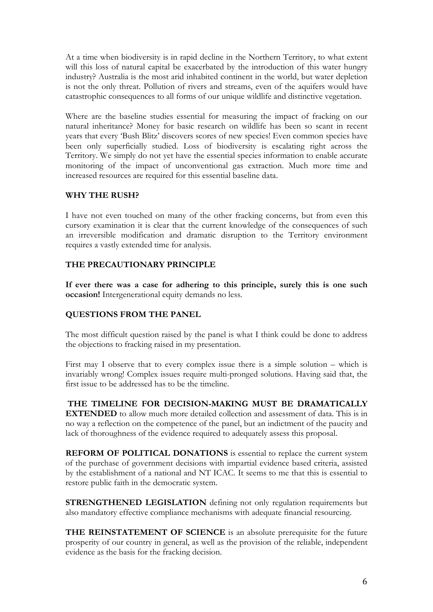At a time when biodiversity is in rapid decline in the Northern Territory, to what extent will this loss of natural capital be exacerbated by the introduction of this water hungry industry? Australia is the most arid inhabited continent in the world, but water depletion is not the only threat. Pollution of rivers and streams, even of the aquifers would have catastrophic consequences to all forms of our unique wildlife and distinctive vegetation.

Where are the baseline studies essential for measuring the impact of fracking on our natural inheritance? Money for basic research on wildlife has been so scant in recent years that every 'Bush Blitz' discovers scores of new species! Even common species have been only superficially studied. Loss of biodiversity is escalating right across the Territory. We simply do not yet have the essential species information to enable accurate monitoring of the impact of unconventional gas extraction. Much more time and increased resources are required for this essential baseline data.

#### **WHY THE RUSH?**

I have not even touched on many of the other fracking concerns, but from even this cursory examination it is clear that the current knowledge of the consequences of such an irreversible modification and dramatic disruption to the Territory environment requires a vastly extended time for analysis.

### **THE PRECAUTIONARY PRINCIPLE**

**If ever there was a case for adhering to this principle, surely this is one such occasion!** Intergenerational equity demands no less.

## **QUESTIONS FROM THE PANEL**

The most difficult question raised by the panel is what I think could be done to address the objections to fracking raised in my presentation.

First may I observe that to every complex issue there is a simple solution – which is invariably wrong! Complex issues require multi-pronged solutions. Having said that, the first issue to be addressed has to be the timeline.

**THE TIMELINE FOR DECISION-MAKING MUST BE DRAMATICALLY EXTENDED** to allow much more detailed collection and assessment of data. This is in no way a reflection on the competence of the panel, but an indictment of the paucity and lack of thoroughness of the evidence required to adequately assess this proposal.

**REFORM OF POLITICAL DONATIONS** is essential to replace the current system of the purchase of government decisions with impartial evidence based criteria, assisted by the establishment of a national and NT ICAC. It seems to me that this is essential to restore public faith in the democratic system.

**STRENGTHENED LEGISLATION** defining not only regulation requirements but also mandatory effective compliance mechanisms with adequate financial resourcing.

**THE REINSTATEMENT OF SCIENCE** is an absolute prerequisite for the future prosperity of our country in general, as well as the provision of the reliable, independent evidence as the basis for the fracking decision.